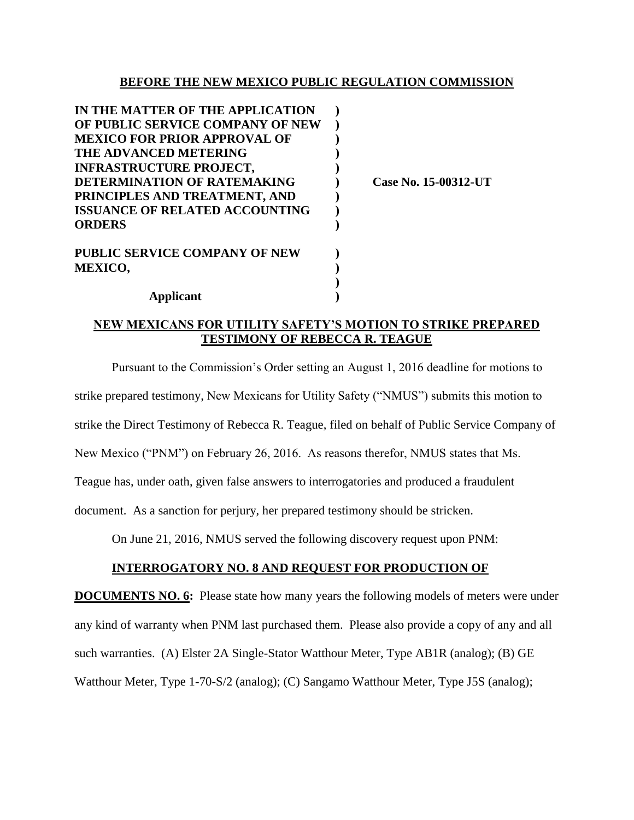#### **BEFORE THE NEW MEXICO PUBLIC REGULATION COMMISSION**

| IN THE MATTER OF THE APPLICATION      |  |
|---------------------------------------|--|
| OF PUBLIC SERVICE COMPANY OF NEW      |  |
| <b>MEXICO FOR PRIOR APPROVAL OF</b>   |  |
| <b>THE ADVANCED METERING</b>          |  |
| <b>INFRASTRUCTURE PROJECT,</b>        |  |
| DETERMINATION OF RATEMAKING           |  |
| PRINCIPLES AND TREATMENT, AND         |  |
| <b>ISSUANCE OF RELATED ACCOUNTING</b> |  |
| <b>ORDERS</b>                         |  |
| <b>PUBLIC SERVICE COMPANY OF NEW</b>  |  |
| <b>MEXICO,</b>                        |  |
|                                       |  |

**Applicant )**

**DETERMINATION OF RATEMAKING ) Case No. 15-00312-UT**

## **NEW MEXICANS FOR UTILITY SAFETY'S MOTION TO STRIKE PREPARED TESTIMONY OF REBECCA R. TEAGUE**

Pursuant to the Commission's Order setting an August 1, 2016 deadline for motions to strike prepared testimony, New Mexicans for Utility Safety ("NMUS") submits this motion to strike the Direct Testimony of Rebecca R. Teague, filed on behalf of Public Service Company of New Mexico ("PNM") on February 26, 2016. As reasons therefor, NMUS states that Ms. Teague has, under oath, given false answers to interrogatories and produced a fraudulent document. As a sanction for perjury, her prepared testimony should be stricken.

On June 21, 2016, NMUS served the following discovery request upon PNM:

# **INTERROGATORY NO. 8 AND REQUEST FOR PRODUCTION OF**

**DOCUMENTS NO. 6:** Please state how many years the following models of meters were under any kind of warranty when PNM last purchased them. Please also provide a copy of any and all such warranties. (A) Elster 2A Single-Stator Watthour Meter, Type AB1R (analog); (B) GE Watthour Meter, Type 1-70-S/2 (analog); (C) Sangamo Watthour Meter, Type J5S (analog);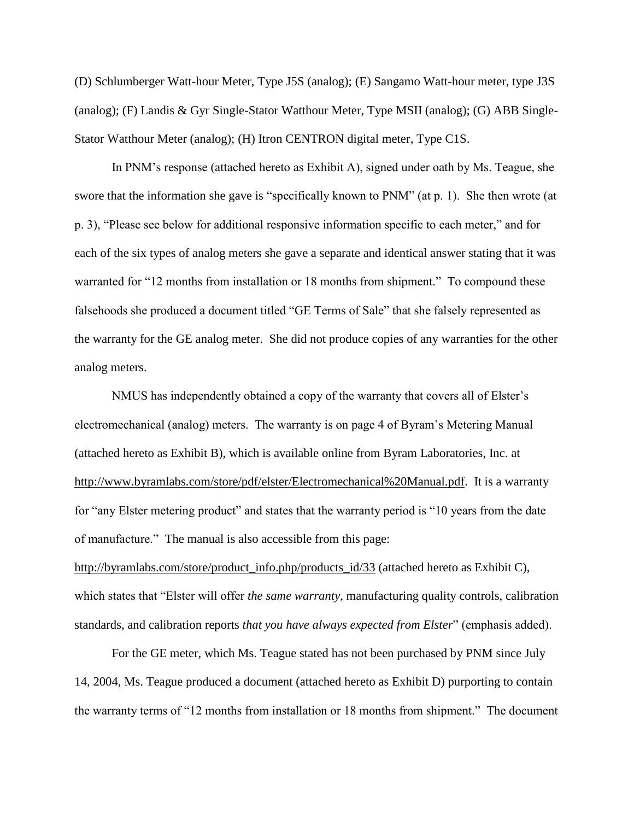(D) Schlumberger Watt-hour Meter, Type J5S (analog); (E) Sangamo Watt-hour meter, type J3S (analog); (F) Landis & Gyr Single-Stator Watthour Meter, Type MSII (analog); (G) ABB Single-Stator Watthour Meter (analog); (H) Itron CENTRON digital meter, Type C1S.

In PNM's response (attached hereto as Exhibit A), signed under oath by Ms. Teague, she swore that the information she gave is "specifically known to PNM" (at p. 1). She then wrote (at p. 3), "Please see below for additional responsive information specific to each meter," and for each of the six types of analog meters she gave a separate and identical answer stating that it was warranted for "12 months from installation or 18 months from shipment." To compound these falsehoods she produced a document titled "GE Terms of Sale" that she falsely represented as the warranty for the GE analog meter. She did not produce copies of any warranties for the other analog meters.

NMUS has independently obtained a copy of the warranty that covers all of Elster's electromechanical (analog) meters. The warranty is on page 4 of Byram's Metering Manual (attached hereto as Exhibit B), which is available online from Byram Laboratories, Inc. at http://www.byramlabs.com/store/pdf/elster/Electromechanical%20Manual.pdf. It is a warranty for "any Elster metering product" and states that the warranty period is "10 years from the date of manufacture." The manual is also accessible from this page:

http://byramlabs.com/store/product\_info.php/products\_id/33 (attached hereto as Exhibit C), which states that "Elster will offer *the same warranty*, manufacturing quality controls, calibration standards, and calibration reports *that you have always expected from Elster*" (emphasis added).

For the GE meter, which Ms. Teague stated has not been purchased by PNM since July 14, 2004, Ms. Teague produced a document (attached hereto as Exhibit D) purporting to contain the warranty terms of "12 months from installation or 18 months from shipment." The document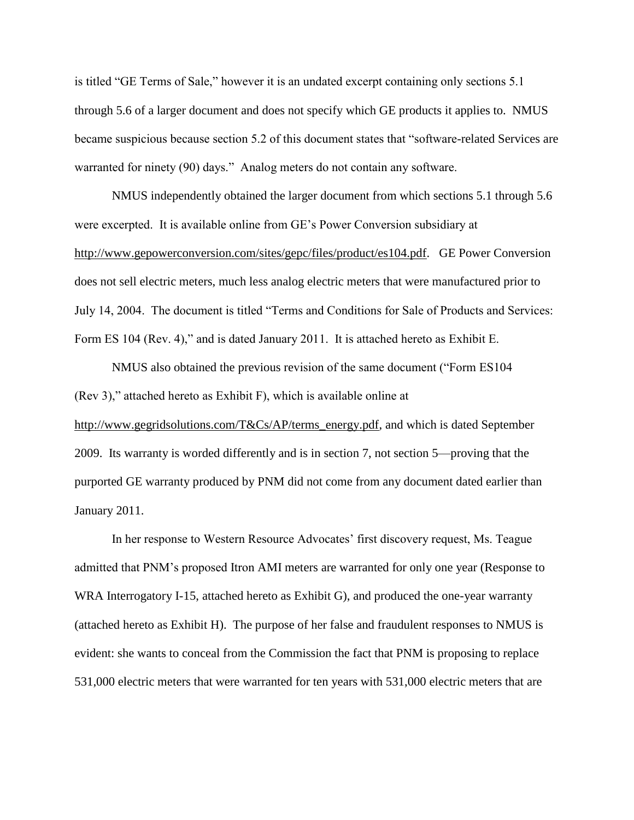is titled "GE Terms of Sale," however it is an undated excerpt containing only sections 5.1 through 5.6 of a larger document and does not specify which GE products it applies to. NMUS became suspicious because section 5.2 of this document states that "software-related Services are warranted for ninety (90) days." Analog meters do not contain any software.

NMUS independently obtained the larger document from which sections 5.1 through 5.6 were excerpted. It is available online from GE's Power Conversion subsidiary at http://www.gepowerconversion.com/sites/gepc/files/product/es104.pdf. GE Power Conversion does not sell electric meters, much less analog electric meters that were manufactured prior to July 14, 2004. The document is titled "Terms and Conditions for Sale of Products and Services: Form ES 104 (Rev. 4)," and is dated January 2011. It is attached hereto as Exhibit E.

NMUS also obtained the previous revision of the same document ("Form ES104 (Rev 3)," attached hereto as Exhibit F), which is available online at http://www.gegridsolutions.com/T&Cs/AP/terms\_energy.pdf, and which is dated September 2009. Its warranty is worded differently and is in section 7, not section 5—proving that the purported GE warranty produced by PNM did not come from any document dated earlier than January 2011.

In her response to Western Resource Advocates' first discovery request, Ms. Teague admitted that PNM's proposed Itron AMI meters are warranted for only one year (Response to WRA Interrogatory I-15, attached hereto as Exhibit G), and produced the one-year warranty (attached hereto as Exhibit H). The purpose of her false and fraudulent responses to NMUS is evident: she wants to conceal from the Commission the fact that PNM is proposing to replace 531,000 electric meters that were warranted for ten years with 531,000 electric meters that are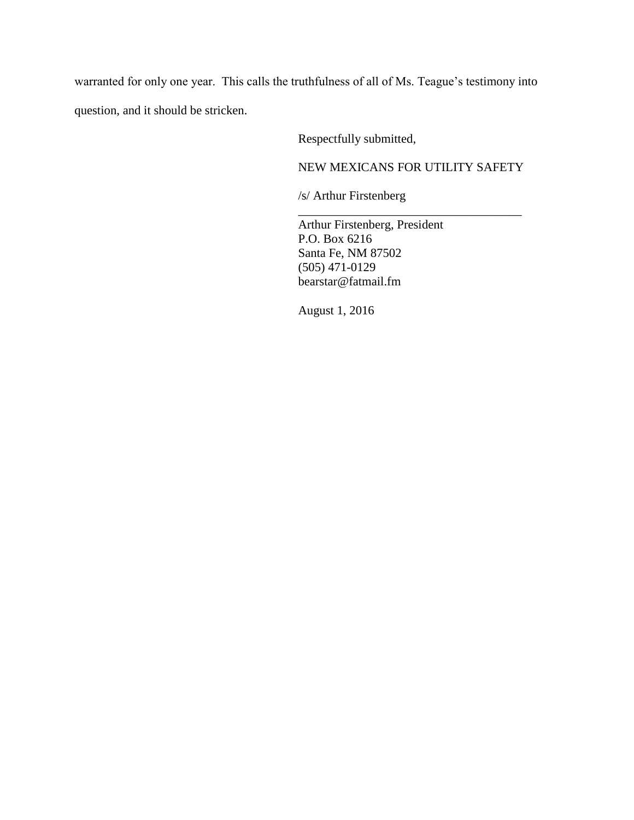warranted for only one year. This calls the truthfulness of all of Ms. Teague's testimony into question, and it should be stricken.

Respectfully submitted,

NEW MEXICANS FOR UTILITY SAFETY

\_\_\_\_\_\_\_\_\_\_\_\_\_\_\_\_\_\_\_\_\_\_\_\_\_\_\_\_\_\_\_\_\_\_\_\_

/s/ Arthur Firstenberg

Arthur Firstenberg, President P.O. Box 6216 Santa Fe, NM 87502 (505) 471-0129 bearstar@fatmail.fm

August 1, 2016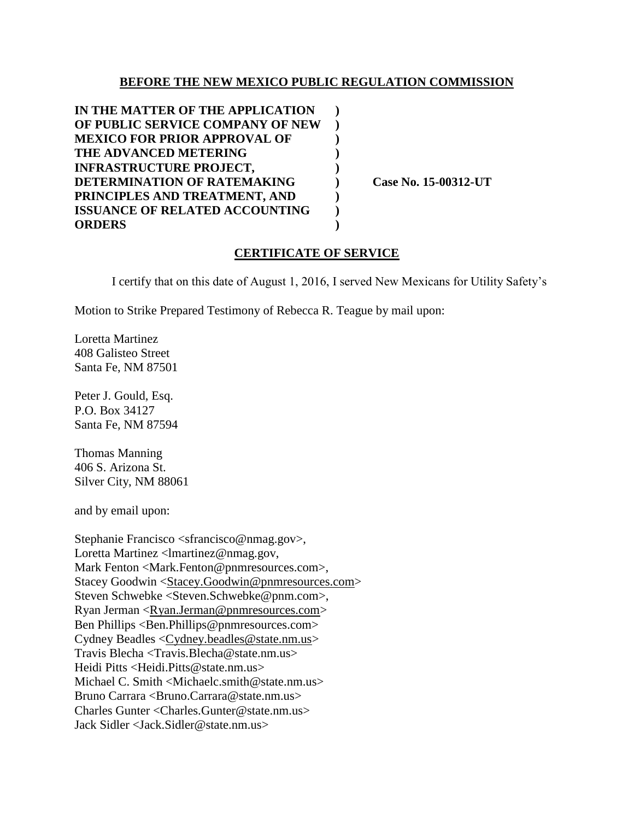### **BEFORE THE NEW MEXICO PUBLIC REGULATION COMMISSION**

**IN THE MATTER OF THE APPLICATION ) OF PUBLIC SERVICE COMPANY OF NEW ) MEXICO FOR PRIOR APPROVAL OF ) THE ADVANCED METERING ) INFRASTRUCTURE PROJECT, ) DETERMINATION OF RATEMAKING ) Case No. 15-00312-UT PRINCIPLES AND TREATMENT, AND ) ISSUANCE OF RELATED ACCOUNTING ) ORDERS )**

### **CERTIFICATE OF SERVICE**

I certify that on this date of August 1, 2016, I served New Mexicans for Utility Safety's

Motion to Strike Prepared Testimony of Rebecca R. Teague by mail upon:

Loretta Martinez 408 Galisteo Street Santa Fe, NM 87501

Peter J. Gould, Esq. P.O. Box 34127 Santa Fe, NM 87594

Thomas Manning 406 S. Arizona St. Silver City, NM 88061

and by email upon:

Stephanie Francisco <sfrancisco@nmag.gov>, Loretta Martinez <lmartinez@nmag.gov, Mark Fenton <Mark.Fenton@pnmresources.com>, Stacey Goodwin [<Stacey.Goodwin@pnmresources.com>](mailto:Stacey.Goodwin@pnmresources.com) Steven Schwebke <Steven.Schwebke@pnm.com>, Ryan Jerman [<Ryan.Jerman@pnmresources.com>](mailto:Ryan.Jerman@pnmresources.com) Ben Phillips <Ben.Phillips@pnmresources.com> Cydney Beadles [<Cydney.beadles@state.nm.us>](mailto:Cydney.beadles@state.nm.us) Travis Blecha <Travis.Blecha@state.nm.us> Heidi Pitts <Heidi.Pitts@state.nm.us> Michael C. Smith <Michaelc.smith@state.nm.us> Bruno Carrara <Bruno.Carrara@state.nm.us> Charles Gunter <Charles.Gunter@state.nm.us> Jack Sidler <Jack.Sidler@state.nm.us>